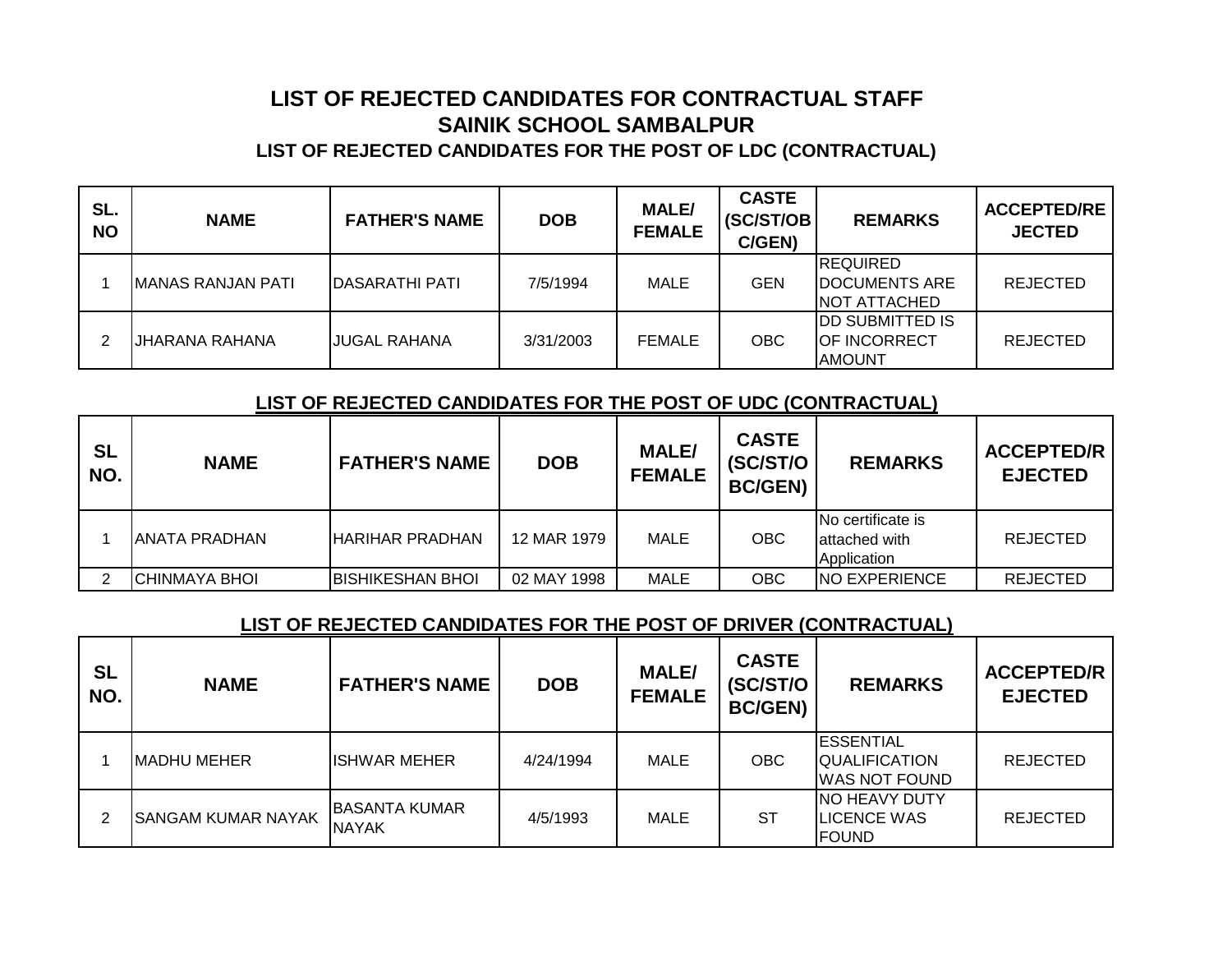## **SAINIK SCHOOL SAMBALPUR LIST OF REJECTED CANDIDATES FOR THE POST OF LDC (CONTRACTUAL) LIST OF REJECTED CANDIDATES FOR CONTRACTUAL STAFF**

| SL.<br><b>NO</b> | <b>NAME</b>               | <b>FATHER'S NAME</b>   | <b>DOB</b> | <b>MALE/</b><br><b>FEMALE</b> | <b>CASTE</b><br>(SC/ST/OB<br>C/GEN) | <b>REMARKS</b>                                                   | <b>ACCEPTED/RE</b><br><b>JECTED</b> |
|------------------|---------------------------|------------------------|------------|-------------------------------|-------------------------------------|------------------------------------------------------------------|-------------------------------------|
|                  | <b>IMANAS RANJAN PATI</b> | <b>IDASARATHI PATI</b> | 7/5/1994   | MALE                          | <b>GEN</b>                          | <b>REQUIRED</b><br><b>DOCUMENTS ARE</b><br><b>NOT ATTACHED</b>   | <b>REJECTED</b>                     |
|                  | IJHARANA RAHANA           | <b>IJUGAL RAHANA</b>   | 3/31/2003  | <b>FEMALE</b>                 | <b>OBC</b>                          | <b>IDD SUBMITTED IS</b><br><b>IOF INCORRECT</b><br><b>AMOUNT</b> | <b>REJECTED</b>                     |

## **LIST OF REJECTED CANDIDATES FOR THE POST OF UDC (CONTRACTUAL)**

| <b>SL</b><br>NO. | <b>NAME</b>    | <b>FATHER'S NAME</b>    | <b>DOB</b>  | <b>MALE/</b><br><b>FEMALE</b> | <b>CASTE</b><br>(SC/ST/O<br><b>BC/GEN)</b> | <b>REMARKS</b>                                      | <b>ACCEPTED/R</b><br><b>EJECTED</b> |
|------------------|----------------|-------------------------|-------------|-------------------------------|--------------------------------------------|-----------------------------------------------------|-------------------------------------|
|                  | IANATA PRADHAN | <b>IHARIHAR PRADHAN</b> | 12 MAR 1979 | MALE                          | <b>OBC</b>                                 | INo certificate is<br>lattached with<br>Application | <b>REJECTED</b>                     |
|                  | ICHINMAYA BHOI | IBISHIKESHAN BHOI       | 02 MAY 1998 | MALE                          | ОВС                                        | <b>INO EXPERIENCE</b>                               | <b>REJECTED</b>                     |

## **LIST OF REJECTED CANDIDATES FOR THE POST OF DRIVER (CONTRACTUAL)**

| <b>SL</b><br>NO. | <b>NAME</b>               | <b>FATHER'S NAME</b>                  | <b>DOB</b> | <b>MALE/</b><br><b>FEMALE</b> | <b>CASTE</b><br>(SC/ST/O<br><b>BC/GEN)</b> | <b>REMARKS</b>                                               | <b>ACCEPTED/R</b><br><b>EJECTED</b> |
|------------------|---------------------------|---------------------------------------|------------|-------------------------------|--------------------------------------------|--------------------------------------------------------------|-------------------------------------|
|                  | <b>IMADHU MEHER</b>       | <b>ISHWAR MEHER</b>                   | 4/24/1994  | MALE                          | OBC.                                       | <b>ESSENTIAL</b><br><b>QUALIFICATION</b><br>WAS NOT FOUND    | <b>REJECTED</b>                     |
| າ                | <b>SANGAM KUMAR NAYAK</b> | <b>IBASANTA KUMAR</b><br><b>NAYAK</b> | 4/5/1993   | MALE                          | SТ                                         | <b>INO HEAVY DUTY</b><br><b>ILICENCE WAS</b><br><b>FOUND</b> | <b>REJECTED</b>                     |